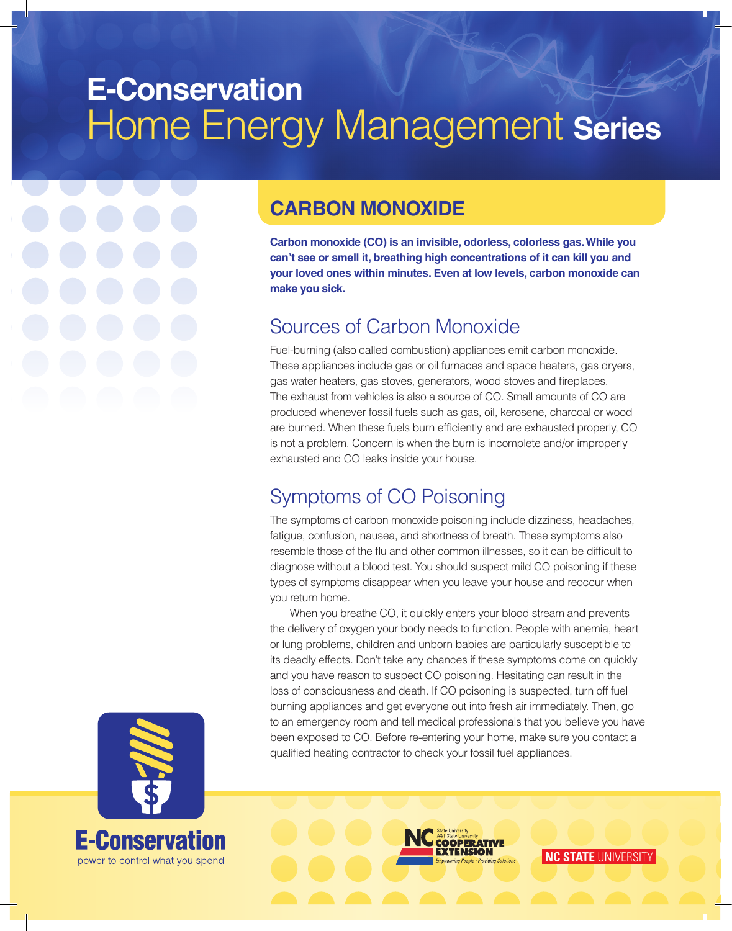# **E-Conservation**  Home Energy Management **Series**

#### **CARBON MONOXIDE**

**Carbon monoxide (CO) is an invisible, odorless, colorless gas. While you can't see or smell it, breathing high concentrations of it can kill you and your loved ones within minutes. Even at low levels, carbon monoxide can make you sick.**

## Sources of Carbon Monoxide

Fuel-burning (also called combustion) appliances emit carbon monoxide. These appliances include gas or oil furnaces and space heaters, gas dryers, gas water heaters, gas stoves, generators, wood stoves and fireplaces. The exhaust from vehicles is also a source of CO. Small amounts of CO are produced whenever fossil fuels such as gas, oil, kerosene, charcoal or wood are burned. When these fuels burn efficiently and are exhausted properly, CO is not a problem. Concern is when the burn is incomplete and/or improperly exhausted and CO leaks inside your house.

## Symptoms of CO Poisoning

The symptoms of carbon monoxide poisoning include dizziness, headaches, fatigue, confusion, nausea, and shortness of breath. These symptoms also resemble those of the flu and other common illnesses, so it can be difficult to diagnose without a blood test. You should suspect mild CO poisoning if these types of symptoms disappear when you leave your house and reoccur when you return home.

When you breathe CO, it quickly enters your blood stream and prevents the delivery of oxygen your body needs to function. People with anemia, heart or lung problems, children and unborn babies are particularly susceptible to its deadly effects. Don't take any chances if these symptoms come on quickly and you have reason to suspect CO poisoning. Hesitating can result in the loss of consciousness and death. If CO poisoning is suspected, turn off fuel burning appliances and get everyone out into fresh air immediately. Then, go to an emergency room and tell medical professionals that you believe you have been exposed to CO. Before re-entering your home, make sure you contact a qualified heating contractor to check your fossil fuel appliances.





**NC STATE UNIVERSITY**